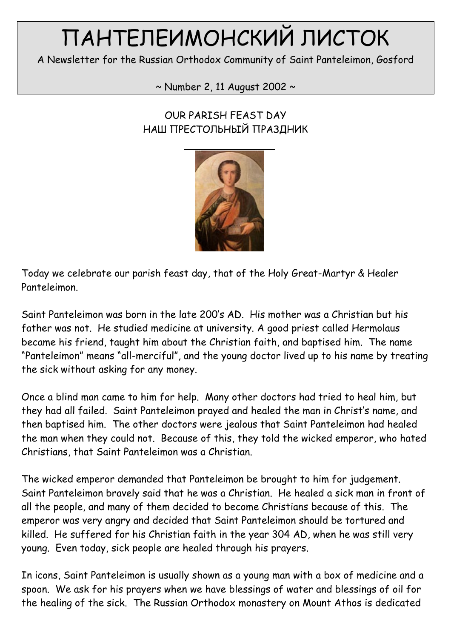# ПАНТЕЛЕИМОНСКИЙ ЛИСТОК

A Newsletter for the Russian Orthodox Community of Saint Panteleimon, Gosford

 $\sim$  Number 2, 11 August 2002  $\sim$ 

# OUR PARISH FEAST DAY НАШ ПРЕСТОЛЬНЫЙ ПРАЗДНИК



Today we celebrate our parish feast day, that of the Holy Great-Martyr & Healer Panteleimon.

Saint Panteleimon was born in the late 200's AD. His mother was a Christian but his father was not. He studied medicine at university. A good priest called Hermolaus became his friend, taught him about the Christian faith, and baptised him. The name "Panteleimon" means "all-merciful", and the young doctor lived up to his name by treating the sick without asking for any money.

Once a blind man came to him for help. Many other doctors had tried to heal him, but they had all failed. Saint Panteleimon prayed and healed the man in Christ's name, and then baptised him. The other doctors were jealous that Saint Panteleimon had healed the man when they could not. Because of this, they told the wicked emperor, who hated Christians, that Saint Panteleimon was a Christian.

The wicked emperor demanded that Panteleimon be brought to him for judgement. Saint Panteleimon bravely said that he was a Christian. He healed a sick man in front of all the people, and many of them decided to become Christians because of this. The emperor was very angry and decided that Saint Panteleimon should be tortured and killed. He suffered for his Christian faith in the year 304 AD, when he was still very young. Even today, sick people are healed through his prayers.

In icons, Saint Panteleimon is usually shown as a young man with a box of medicine and a spoon. We ask for his prayers when we have blessings of water and blessings of oil for the healing of the sick. The Russian Orthodox monastery on Mount Athos is dedicated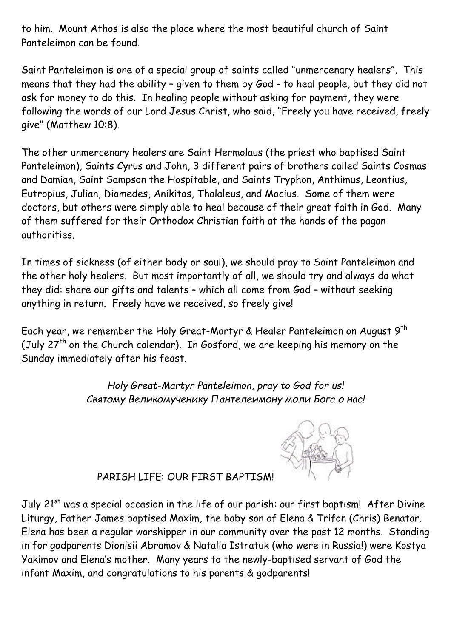to him. Mount Athos is also the place where the most beautiful church of Saint Panteleimon can be found.

Saint Panteleimon is one of a special group of saints called "unmercenary healers". This means that they had the ability – given to them by God - to heal people, but they did not ask for money to do this. In healing people without asking for payment, they were following the words of our Lord Jesus Christ, who said, "Freely you have received, freely give" (Matthew 10:8).

The other unmercenary healers are Saint Hermolaus (the priest who baptised Saint Panteleimon), Saints Cyrus and John, 3 different pairs of brothers called Saints Cosmas and Damian, Saint Sampson the Hospitable, and Saints Tryphon, Anthimus, Leontius, Eutropius, Julian, Diomedes, Anikitos, Thalaleus, and Mocius. Some of them were doctors, but others were simply able to heal because of their great faith in God. Many of them suffered for their Orthodox Christian faith at the hands of the pagan authorities.

In times of sickness (of either body or soul), we should pray to Saint Panteleimon and the other holy healers. But most importantly of all, we should try and always do what they did: share our gifts and talents – which all come from God – without seeking anything in return. Freely have we received, so freely give!

Each year, we remember the Holy Great-Martyr & Healer Panteleimon on August 9th (July  $27<sup>th</sup>$  on the Church calendar). In Gosford, we are keeping his memory on the Sunday immediately after his feast.

> Holy Great-Martyr Panteleimon, pray to God for us! Святому Великомученику Пантелеимону моли Бога о нас!



### PARISH LIFE: OUR FIRST BAPTISM!

July 21<sup>st</sup> was a special occasion in the life of our parish: our first baptism! After Divine Liturgy, Father James baptised Maxim, the baby son of Elena & Trifon (Chris) Benatar. Elena has been a regular worshipper in our community over the past 12 months. Standing in for godparents Dionisii Abramov & Natalia Istratuk (who were in Russia!) were Kostya Yakimov and Elena's mother. Many years to the newly-baptised servant of God the infant Maxim, and congratulations to his parents & godparents!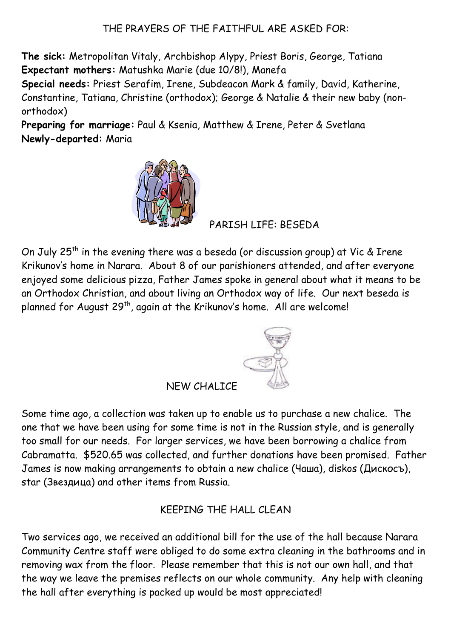### THE PRAYERS OF THE FAITHFUL ARE ASKED FOR:

The sick: Metropolitan Vitaly, Archbishop Alypy, Priest Boris, George, Tatiana Expectant mothers: Matushka Marie (due 10/8!), Manefa

Special needs: Priest Serafim, Irene, Subdeacon Mark & family, David, Katherine, Constantine, Tatiana, Christine (orthodox); George & Natalie & their new baby (nonorthodox)

Preparing for marriage: Paul & Ksenia, Matthew & Irene, Peter & Svetlana Newly-departed: Maria



PARISH LIFE: BESEDA

On July 25<sup>th</sup> in the evening there was a beseda (or discussion group) at Vic & Irene Krikunov's home in Narara. About 8 of our parishioners attended, and after everyone enjoyed some delicious pizza, Father James spoke in general about what it means to be an Orthodox Christian, and about living an Orthodox way of life. Our next beseda is planned for August 29<sup>th</sup>, again at the Krikunov's home. All are welcome!



#### NEW CHALICE

Some time ago, a collection was taken up to enable us to purchase a new chalice. The one that we have been using for some time is not in the Russian style, and is generally too small for our needs. For larger services, we have been borrowing a chalice from Cabramatta. \$520.65 was collected, and further donations have been promised. Father James is now making arrangements to obtain a new chalice (Чаша), diskos (Дискосъ), star (Звездица) and other items from Russia.

### KEEPING THE HALL CLEAN

Two services ago, we received an additional bill for the use of the hall because Narara Community Centre staff were obliged to do some extra cleaning in the bathrooms and in removing wax from the floor. Please remember that this is not our own hall, and that the way we leave the premises reflects on our whole community. Any help with cleaning the hall after everything is packed up would be most appreciated!